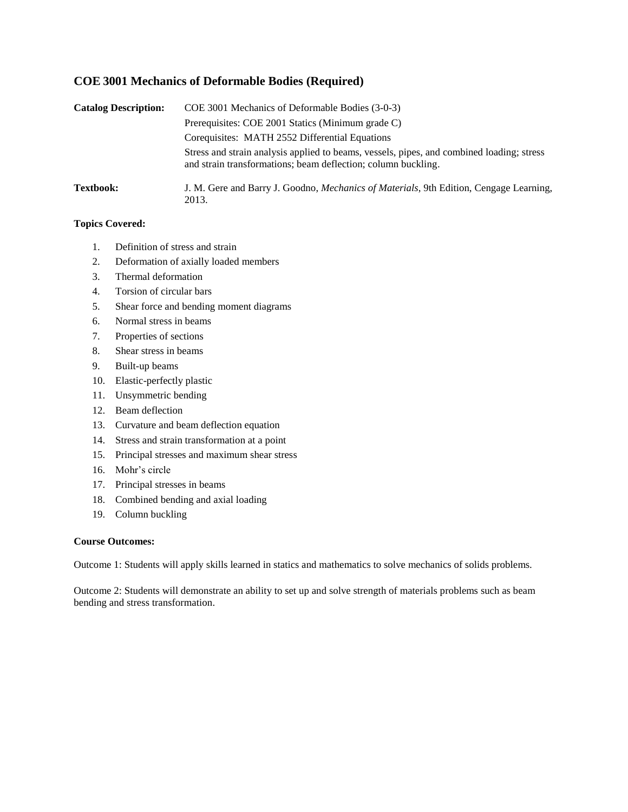# **COE 3001 Mechanics of Deformable Bodies (Required)**

| <b>Catalog Description:</b> | COE 3001 Mechanics of Deformable Bodies (3-0-3)                                                                                                            |  |  |  |  |  |  |  |
|-----------------------------|------------------------------------------------------------------------------------------------------------------------------------------------------------|--|--|--|--|--|--|--|
|                             | Prerequisites: COE 2001 Statics (Minimum grade C)                                                                                                          |  |  |  |  |  |  |  |
|                             | Corequisites: MATH 2552 Differential Equations                                                                                                             |  |  |  |  |  |  |  |
|                             | Stress and strain analysis applied to beams, vessels, pipes, and combined loading; stress<br>and strain transformations; beam deflection; column buckling. |  |  |  |  |  |  |  |
| <b>Textbook:</b>            | J. M. Gere and Barry J. Goodno, <i>Mechanics of Materials</i> , 9th Edition, Cengage Learning,<br>2013.                                                    |  |  |  |  |  |  |  |

## **Topics Covered:**

- 1. Definition of stress and strain
- 2. Deformation of axially loaded members
- 3. Thermal deformation
- 4. Torsion of circular bars
- 5. Shear force and bending moment diagrams
- 6. Normal stress in beams
- 7. Properties of sections
- 8. Shear stress in beams
- 9. Built-up beams
- 10. Elastic-perfectly plastic
- 11. Unsymmetric bending
- 12. Beam deflection
- 13. Curvature and beam deflection equation
- 14. Stress and strain transformation at a point
- 15. Principal stresses and maximum shear stress
- 16. Mohr's circle
- 17. Principal stresses in beams
- 18. Combined bending and axial loading
- 19. Column buckling

#### **Course Outcomes:**

Outcome 1: Students will apply skills learned in statics and mathematics to solve mechanics of solids problems.

Outcome 2: Students will demonstrate an ability to set up and solve strength of materials problems such as beam bending and stress transformation.